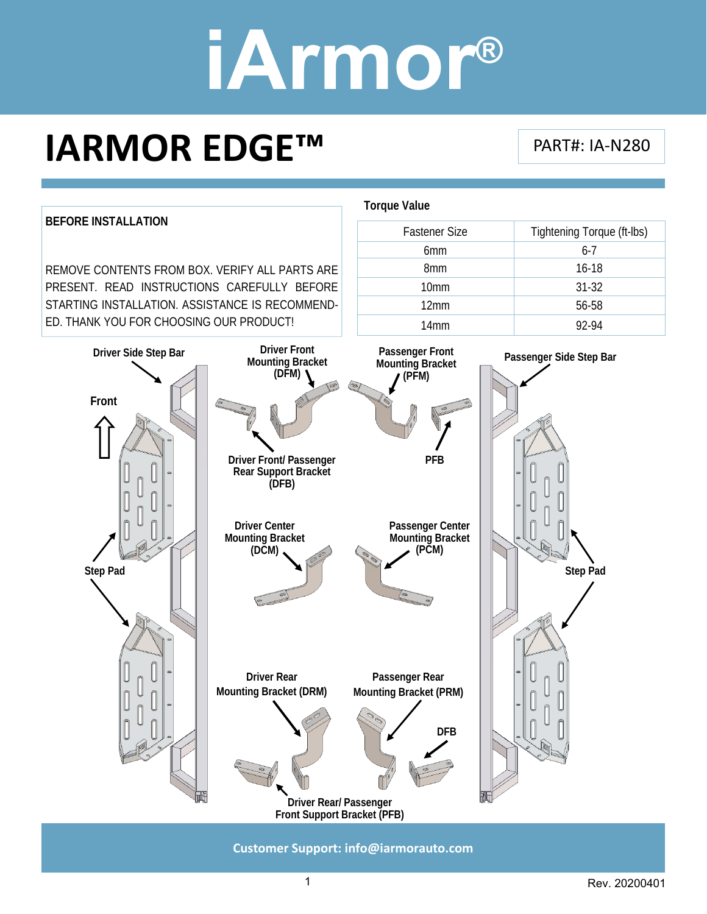### **IARMOR EDGE™**

PART#: IA‐N280



**Customer Support: info@iarmorauto.com** 

1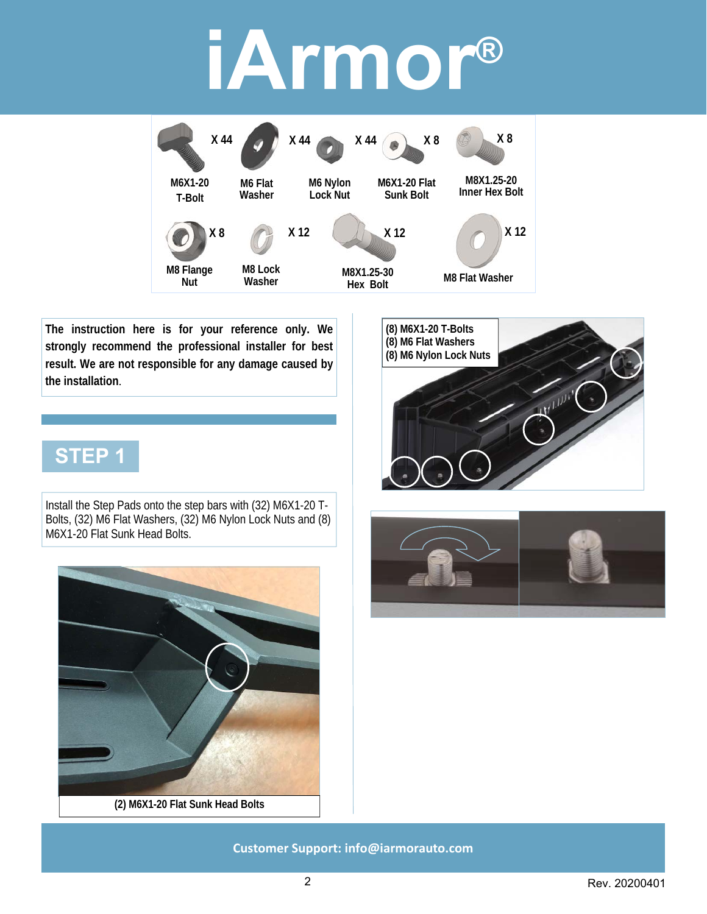

**The instruction here is for your reference only. We strongly recommend the professional installer for best result. We are not responsible for any damage caused by the installation**.

### **STEP 1**

Install the Step Pads onto the step bars with (32) M6X1-20 T-Bolts, (32) M6 Flat Washers, (32) M6 Nylon Lock Nuts and (8) M6X1-20 Flat Sunk Head Bolts.





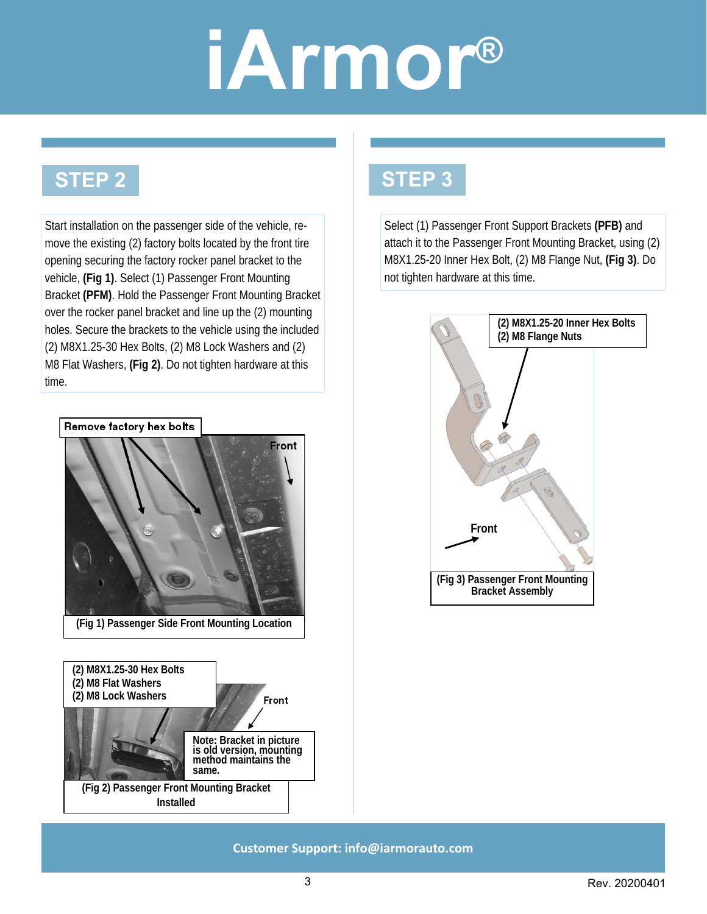#### **STEP 2**

Start installation on the passenger side of the vehicle, remove the existing (2) factory bolts located by the front tire opening securing the factory rocker panel bracket to the vehicle, **(Fig 1)**. Select (1) Passenger Front Mounting Bracket **(PFM)**. Hold the Passenger Front Mounting Bracket over the rocker panel bracket and line up the (2) mounting holes. Secure the brackets to the vehicle using the included (2) M8X1.25-30 Hex Bolts, (2) M8 Lock Washers and (2) M8 Flat Washers, **(Fig 2)**. Do not tighten hardware at this time.



### **STEP 3**

Select (1) Passenger Front Support Brackets **(PFB)** and attach it to the Passenger Front Mounting Bracket, using (2) M8X1.25-20 Inner Hex Bolt, (2) M8 Flange Nut, **(Fig 3)**. Do not tighten hardware at this time.

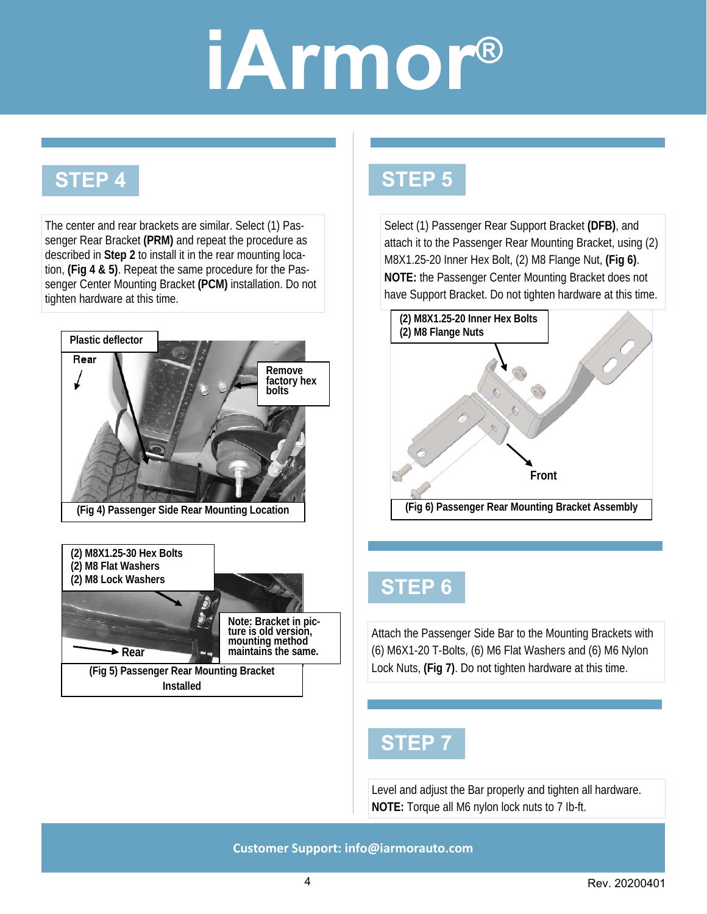#### **STEP 4**

The center and rear brackets are similar. Select (1) Passenger Rear Bracket **(PRM)** and repeat the procedure as described in **Step 2** to install it in the rear mounting location, **(Fig 4 & 5)**. Repeat the same procedure for the Passenger Center Mounting Bracket **(PCM)** installation. Do not tighten hardware at this time.





#### **STEP 5**

Select (1) Passenger Rear Support Bracket **(DFB)**, and attach it to the Passenger Rear Mounting Bracket, using (2) M8X1.25-20 Inner Hex Bolt, (2) M8 Flange Nut, **(Fig 6)**. **NOTE:** the Passenger Center Mounting Bracket does not have Support Bracket. Do not tighten hardware at this time.



#### **STEP 6**

Attach the Passenger Side Bar to the Mounting Brackets with (6) M6X1-20 T-Bolts, (6) M6 Flat Washers and (6) M6 Nylon Lock Nuts, **(Fig 7)**. Do not tighten hardware at this time.

#### **STEP 7**

Level and adjust the Bar properly and tighten all hardware. **NOTE:** Torque all M6 nylon lock nuts to 7 Ib-ft.